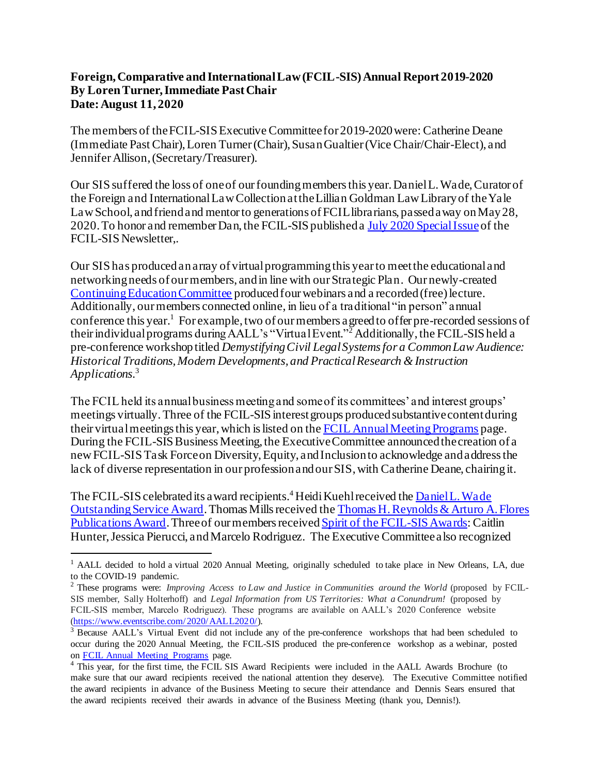## **Foreign, Comparative and International Law (FCIL-SIS) Annual Report 2019-2020 By Loren Turner, Immediate Past Chair Date: August 11, 2020**

The members of the FCIL-SIS Executive Committee for 2019-2020 were: Catherine Deane (Immediate Past Chair), Loren Turner (Chair), Susan Gualtier (Vice Chair/Chair-Elect), and Jennifer Allison, (Secretary/Treasurer).

Our SIS suffered the loss of one of our founding members this year. Daniel L. Wade, Curator of the Foreign and International Law Collection at the Lillian Goldman Law Library of the Yale Law School, and friend and mentor to generations of FCIL librarians, passed away on May 28, 2020. To honor and remember Dan, the FCIL-SIS published [a July 2020 Special Issue](https://www.aallnet.org/fcilsis/wp-content/uploads/sites/7/2020/07/FCIL_-July-2020_Special-Issue.pdf) of the FCIL-SIS Newsletter,.

Our SIS has produced an array of virtual programming this year to meet the educational and networking needs of our members, and in line with our Strategic Plan. Our newly-created [Continuing Education Committee](https://www.aallnet.org/fcilsis/about-us/committees-groups/continuing-education-committee/) produced four webinars and a recorded (free) lecture. Additionally, our members connected online, in lieu of a traditional "in person" annual conference this year.<sup>1</sup> For example, two of our members a greed to offer pre-recorded sessions of their individual programs during AALL's "Virtual Event."<sup>2</sup> Additionally, the FCIL-SIS held a pre-conference workshop titled *Demystifying Civil Legal Systems for a Common Law Audience: Historical Traditions, Modern Developments, and Practical Research & Instruction Applications.* 3

The FCIL held its annual business meeting and some of its committees' and interest groups' meetings virtually. Three of the FCIL-SIS interest groups produced substantive content during their virtual meetings this year, which is listed on th[e FCIL Annual Meeting Programs](https://www.aallnet.org/fcilsis/education-training/annual-meeting-programs/) page. During the FCIL-SIS Business Meeting, the Executive Committee announced the creation of a new FCIL-SIS Task Force on Diversity, Equity, and Inclusion to acknowledge and address the lack of diverse representation in our profession and our SIS, with Catherine Deane, chairing it.

The FCIL-SIS celebrated its a ward recipients.<sup>4</sup> Heidi Kuehl received the Daniel L. Wade [Outstanding Service Award](https://www.aallnet.org/fcilsis/awards-grants/danielwade-outstandingserviceaward/).Thomas Mills received th[e Thomas H. Reynolds & Arturo A.Flores](https://www.aallnet.org/fcilsis/awards-grants/reynolds-flores-publication-award/)  [Publications Award](https://www.aallnet.org/fcilsis/awards-grants/reynolds-flores-publication-award/). Three of our members receive[d Spirit of the FCIL-SIS Awards](https://www.aallnet.org/fcilsis/awards-grants/spirit-fcil-sis-award/): Caitlin Hunter, Jessica Pierucci, and Marcelo Rodriguez. The Executive Committee also recognized

<sup>&</sup>lt;sup>1</sup> AALL decided to hold a virtual 2020 Annual Meeting, originally scheduled to take place in New Orleans, LA, due to the COVID-19 pandemic.

<sup>&</sup>lt;sup>2</sup> These programs were: *Improving Access to Law and Justice in Communities around the World* (proposed by FCIL-SIS member, Sally Holterhoff) and *Legal Information from US Territories: What a Conundrum!* (proposed by FCIL-SIS member, Marcelo Rodriguez). These programs are available on AALL's 2020 Conference website [\(https://www.eventscribe.com/2020/AALL2020/\).](https://www.eventscribe.com/2020/AALL2020/)

<sup>&</sup>lt;sup>3</sup> Because AALL's Virtual Event did not include any of the pre-conference workshops that had been scheduled to occur during the 2020 Annual Meeting, the FCIL-SIS produced the pre-conference workshop as a webinar, posted on [FCIL Annual Meeting Programs](https://www.aallnet.org/fcilsis/education-training/annual-meeting-programs/) page.

<sup>4</sup> This year, for the first time, the FCIL SIS Award Recipients were included in the AALL Awards Brochure (to make sure that our award recipients received the national attention they deserve). The Executive Committee notified the award recipients in advance of the Business Meeting to secure their attendance and Dennis Sears ensured that the award recipients received their awards in advance of the Business Meeting (thank you, Dennis!).